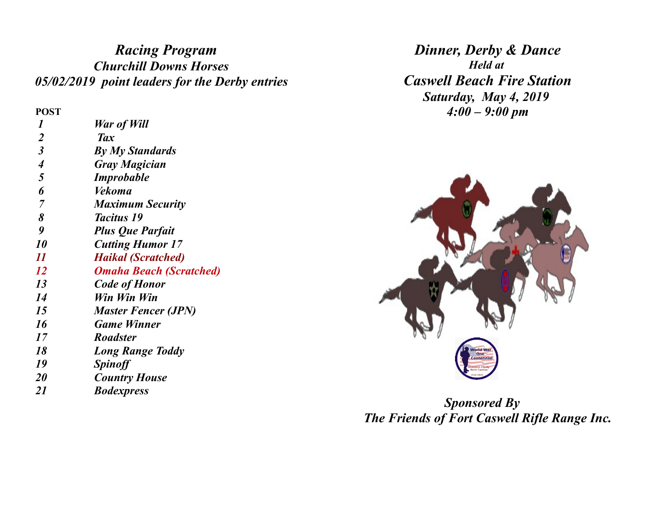## *Racing Program Churchill Downs Horses 05/02/2019 point leaders for the Derby entries*

**POST**

| 1                           | War of Will                    |
|-----------------------------|--------------------------------|
| $\overline{2}$              | <b>Tax</b>                     |
| $\boldsymbol{\beta}$        | <b>By My Standards</b>         |
| $\overline{\boldsymbol{4}}$ | Gray Magician                  |
| 5                           | <b>Improbable</b>              |
| 6                           | Vekoma                         |
| 7                           | <b>Maximum Security</b>        |
| 8                           | <i>Tacitus</i> 19              |
| 9                           | <b>Plus Que Parfait</b>        |
| 10                          | <b>Cutting Humor 17</b>        |
| $\boldsymbol{\mathit{11}}$  | <b>Haikal (Scratched)</b>      |
| 12                          | <b>Omaha Beach (Scratched)</b> |
| 13                          | <b>Code of Honor</b>           |
| 14                          | Win Win Win                    |
| 15                          | <b>Master Fencer (JPN)</b>     |
| 16                          | <b>Game Winner</b>             |
| 17                          | <b>Roadster</b>                |
| 18                          | <b>Long Range Toddy</b>        |
| 19                          | <b>Spinoff</b>                 |
| <b>20</b>                   | <b>Country House</b>           |
| 21                          | <b>Bodexpress</b>              |

*Dinner, Derby & Dance Held at Caswell Beach Fire Station Saturday, May 4, 2019 4:00 – 9:00 pm*



*Sponsored By The Friends of Fort Caswell Rifle Range Inc.*